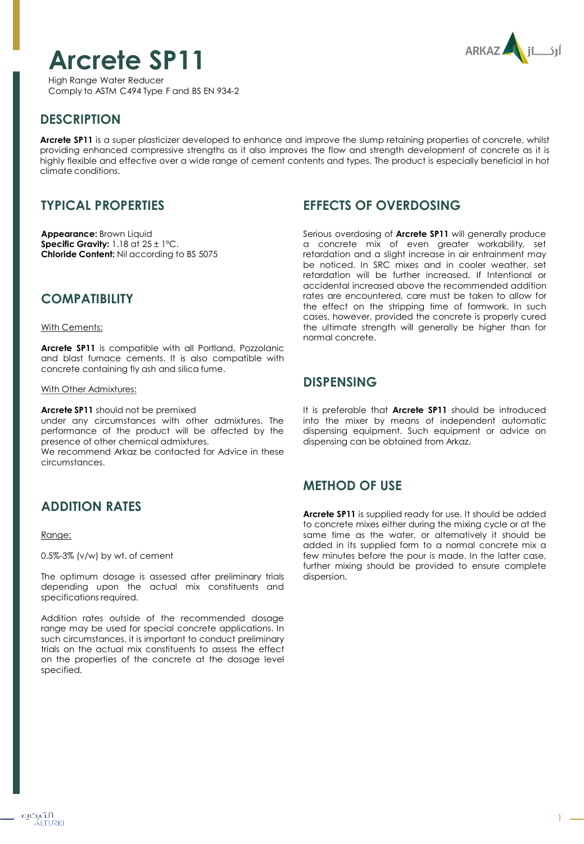



High Range Water Reducer Comply to ASTM C494 Type F and BS EN 934-2

# **DESCRIPTION**

**Arcrete SP11** is a super plasticizer developed to enhance and improve the slump retaining properties of concrete, whilst providing enhanced compressive strengths as it also improves the flow and strength development of concrete as it is highly flexible and effective over a wide range of cement contents and types. The product is especially beneficial in hot climate conditions.

# **TYPICAL PROPERTIES**

**Appearance:** Brown Liquid **Specific Gravity:** 1.18 at 25 ± 1ºC. **Chloride Content:** Nil according to BS 5075

## **COMPATIBILITY**

#### With Cements:

**Arcrete SP11** is compatible with all Portland, Pozzolanic and blast furnace cements. It is also compatible with concrete containing fly ash and silica fume.

#### With Other Admixtures:

**Arcrete SP11** should not be premixed

under any circumstances with other admixtures. The performance of the product will be affected by the presence of other chemical admixtures.

We recommend Arkaz be contacted for Advice in these circumstances.

## **ADDITION RATES**

#### Range:

0.5%-3% (v/w) by wt. of cement

The optimum dosage is assessed after preliminary trials depending upon the actual mix constituents and specifications required.

Addition rates outside of the recommended dosage range may be used for special concrete applications. In such circumstances, it is important to conduct preliminary trials on the actual mix constituents to assess the effect on the properties of the concrete at the dosage level specified.

# **EFFECTS OF OVERDOSING**

Serious overdosing of **Arcrete SP11** will generally produce a concrete mix of even greater workability, set retardation and a slight increase in air entrainment may be noticed. In SRC mixes and in cooler weather, set retardation will be further increased. If Intentional or accidental increased above the recommended addition rates are encountered, care must be taken to allow for the effect on the stripping time of formwork. In such cases, however, provided the concrete is properly cured the ultimate strength will generally be higher than for normal concrete.

## **DISPENSING**

It is preferable that **Arcrete SP11** should be introduced into the mixer by means of independent automatic dispensing equipment. Such equipment or advice on dispensing can be obtained from Arkaz.

## **METHOD OF USE**

**Arcrete SP11** is supplied ready for use. It should be added to concrete mixes either during the mixing cycle or at the same time as the water, or alternatively it should be added in its supplied form to a normal concrete mix a few minutes before the pour is made. In the latter case, further mixing should be provided to ensure complete dispersion.